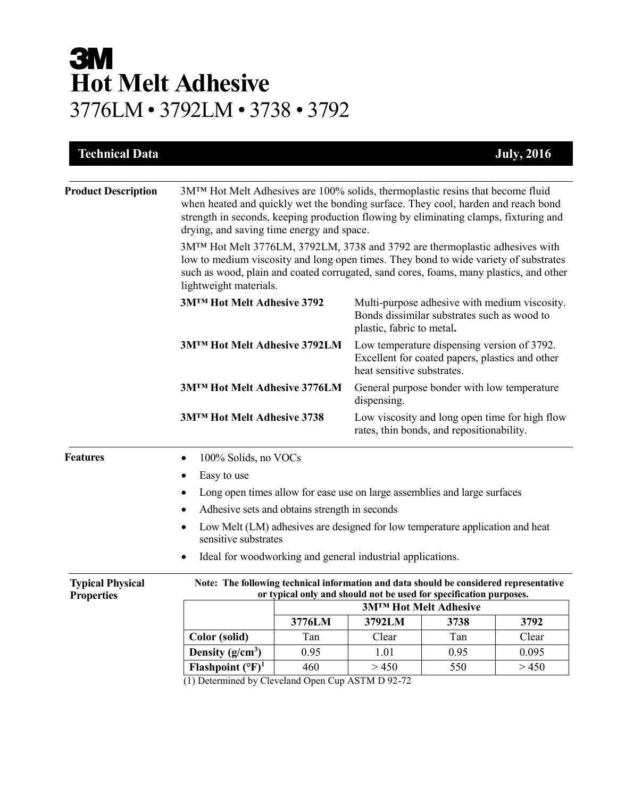# **3M Hot Melt Adhesive** 3776LM • 3792LM • 3738 • 3792

| <b>Technical Data</b>                        |                                                                                                                                                                                                                                                                                                                       |                                                                                                                              |                                                                                                                           |      | <b>July, 2016</b> |  |  |
|----------------------------------------------|-----------------------------------------------------------------------------------------------------------------------------------------------------------------------------------------------------------------------------------------------------------------------------------------------------------------------|------------------------------------------------------------------------------------------------------------------------------|---------------------------------------------------------------------------------------------------------------------------|------|-------------------|--|--|
|                                              |                                                                                                                                                                                                                                                                                                                       |                                                                                                                              |                                                                                                                           |      |                   |  |  |
| <b>Product Description</b>                   | 3M <sup>TM</sup> Hot Melt Adhesives are 100% solids, thermoplastic resins that become fluid<br>when heated and quickly wet the bonding surface. They cool, harden and reach bond<br>strength in seconds, keeping production flowing by eliminating clamps, fixturing and<br>drying, and saving time energy and space. |                                                                                                                              |                                                                                                                           |      |                   |  |  |
|                                              | 3M™ Hot Melt 3776LM, 3792LM, 3738 and 3792 are thermoplastic adhesives with<br>low to medium viscosity and long open times. They bond to wide variety of substrates<br>such as wood, plain and coated corrugated, sand cores, foams, many plastics, and other<br>lightweight materials.                               |                                                                                                                              |                                                                                                                           |      |                   |  |  |
|                                              | 3MTM Hot Melt Adhesive 3792                                                                                                                                                                                                                                                                                           |                                                                                                                              | Multi-purpose adhesive with medium viscosity.<br>Bonds dissimilar substrates such as wood to<br>plastic, fabric to metal. |      |                   |  |  |
|                                              | 3M™ Hot Melt Adhesive 3792LM                                                                                                                                                                                                                                                                                          | Low temperature dispensing version of 3792.<br>Excellent for coated papers, plastics and other<br>heat sensitive substrates. |                                                                                                                           |      |                   |  |  |
|                                              | 3M™ Hot Melt Adhesive 3776LM                                                                                                                                                                                                                                                                                          |                                                                                                                              | General purpose bonder with low temperature<br>dispensing.                                                                |      |                   |  |  |
|                                              | <b>3MTM Hot Melt Adhesive 3738</b>                                                                                                                                                                                                                                                                                    |                                                                                                                              | Low viscosity and long open time for high flow<br>rates, thin bonds, and repositionability.                               |      |                   |  |  |
| <b>Features</b>                              | 100% Solids, no VOCs<br>٠                                                                                                                                                                                                                                                                                             |                                                                                                                              |                                                                                                                           |      |                   |  |  |
|                                              | Easy to use                                                                                                                                                                                                                                                                                                           |                                                                                                                              |                                                                                                                           |      |                   |  |  |
|                                              | Long open times allow for ease use on large assemblies and large surfaces<br>٠                                                                                                                                                                                                                                        |                                                                                                                              |                                                                                                                           |      |                   |  |  |
|                                              | Adhesive sets and obtains strength in seconds                                                                                                                                                                                                                                                                         |                                                                                                                              |                                                                                                                           |      |                   |  |  |
|                                              | Low Melt (LM) adhesives are designed for low temperature application and heat<br>٠<br>sensitive substrates                                                                                                                                                                                                            |                                                                                                                              |                                                                                                                           |      |                   |  |  |
|                                              | Ideal for woodworking and general industrial applications.<br>٠                                                                                                                                                                                                                                                       |                                                                                                                              |                                                                                                                           |      |                   |  |  |
| <b>Typical Physical</b><br><b>Properties</b> | Note: The following technical information and data should be considered representative<br>or typical only and should not be used for specification purposes.                                                                                                                                                          |                                                                                                                              |                                                                                                                           |      |                   |  |  |
|                                              |                                                                                                                                                                                                                                                                                                                       | <b>3MTM Hot Melt Adhesive</b>                                                                                                |                                                                                                                           |      |                   |  |  |
|                                              |                                                                                                                                                                                                                                                                                                                       | 3776LM                                                                                                                       | 3792LM                                                                                                                    | 3738 | 3792              |  |  |
|                                              | Color (solid)                                                                                                                                                                                                                                                                                                         | Tan                                                                                                                          | Clear                                                                                                                     | Tan  | Clear             |  |  |
|                                              | Density $(g/cm^3)$                                                                                                                                                                                                                                                                                                    | 0.95                                                                                                                         | 1.01                                                                                                                      | 0.95 | 0.095             |  |  |
|                                              | Flashpoint $({}^{\circ}F)^1$<br>$(1)$ Determined by Cleveland Open Cup $\triangle$ STM D $\angle$ 92-72                                                                                                                                                                                                               | 460                                                                                                                          | > 450                                                                                                                     | 550  | >450              |  |  |

(1) Determined by Cleveland Open Cup ASTM D 92-72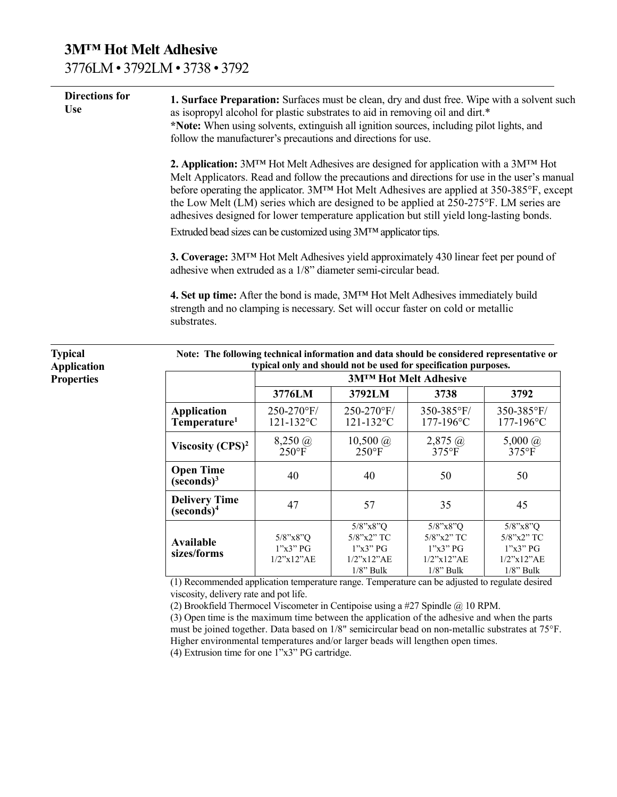### **3M™ Hot Melt Adhesive**  3776LM • 3792LM • 3738 • 3792

**Typical Application Properties**

| 1. Surface Preparation: Surfaces must be clean, dry and dust free. Wipe with a solvent such<br>as isopropyl alcohol for plastic substrates to aid in removing oil and dirt.*<br>*Note: When using solvents, extinguish all ignition sources, including pilot lights, and<br>follow the manufacturer's precautions and directions for use.                                                                                                                                                |
|------------------------------------------------------------------------------------------------------------------------------------------------------------------------------------------------------------------------------------------------------------------------------------------------------------------------------------------------------------------------------------------------------------------------------------------------------------------------------------------|
| <b>2. Application:</b> $3M^{TM}$ Hot Melt Adhesives are designed for application with a $3M^{TM}$ Hot<br>Melt Applicators. Read and follow the precautions and directions for use in the user's manual<br>before operating the applicator. 3MTM Hot Melt Adhesives are applied at 350-385°F, except<br>the Low Melt (LM) series which are designed to be applied at 250-275°F. LM series are<br>adhesives designed for lower temperature application but still yield long-lasting bonds. |
| Extruded bead sizes can be customized using $3MTM$ applicator tips.                                                                                                                                                                                                                                                                                                                                                                                                                      |
| 3. Coverage: 3M <sup>TM</sup> Hot Melt Adhesives yield approximately 430 linear feet per pound of<br>adhesive when extruded as a 1/8" diameter semi-circular bead.                                                                                                                                                                                                                                                                                                                       |
| 4. Set up time: After the bond is made, $3M^{TM}$ Hot Melt Adhesives immediately build<br>strength and no clamping is necessary. Set will occur faster on cold or metallic<br>substrates.                                                                                                                                                                                                                                                                                                |
|                                                                                                                                                                                                                                                                                                                                                                                                                                                                                          |

| Note: The following technical information and data should be considered representative or<br>typical only and should not be used for specification purposes. |                                                 |                                                                                  |                                                                                  |                                                                               |  |  |  |
|--------------------------------------------------------------------------------------------------------------------------------------------------------------|-------------------------------------------------|----------------------------------------------------------------------------------|----------------------------------------------------------------------------------|-------------------------------------------------------------------------------|--|--|--|
|                                                                                                                                                              | <b>3MTM Hot Melt Adhesive</b>                   |                                                                                  |                                                                                  |                                                                               |  |  |  |
|                                                                                                                                                              | 3776LM<br>3792LM                                |                                                                                  | 3738                                                                             | 3792                                                                          |  |  |  |
| <b>Application</b><br>Temperature <sup>1</sup>                                                                                                               | 250-270°F/<br>$121 - 132$ °C                    | 250-270°F/<br>$121 - 132$ °C                                                     | 350-385°F/<br>177-196°C                                                          | 350-385°F/<br>$177 - 196$ °C                                                  |  |  |  |
| Viscosity $(CPS)^2$                                                                                                                                          | $8,250 \; \textcircled{a}$<br>$250^{\circ}$ F   | $10,500 \; \textcircled{a}$<br>$250$ °F                                          | $2,875 \; \textcircled{a}$<br>$375$ °F                                           | 5,000 $\omega$<br>$375^{\circ}F$                                              |  |  |  |
| <b>Open Time</b><br>$(s\acute{e} \text{cond}s)^3$                                                                                                            | 40                                              | 40                                                                               | 50                                                                               | 50                                                                            |  |  |  |
| <b>Delivery Time</b><br>$(seconds)^4$                                                                                                                        | 47                                              | 57                                                                               | 35                                                                               | 45                                                                            |  |  |  |
| Available<br>sizes/forms                                                                                                                                     | $5/8$ "x $8$ "O<br>1"x3"PG<br>$1/2$ "x $12$ "AE | $5/8$ "x $8$ "O<br>$5/8$ "x2" TC<br>1"x3"PG<br>$1/2$ "x $12$ "AE<br>$1/8$ " Bulk | $5/8$ "x $8$ "O<br>$5/8$ "x2" TC<br>1"x3"PG<br>$1/2$ "x $12$ "AE<br>$1/8$ " Bulk | $5/8$ "x $8$ "O<br>5/8"x2" TC<br>1"x3"PG<br>$1/2$ "x $12$ "AE<br>$1/8$ " Bulk |  |  |  |

(1) Recommended application temperature range. Temperature can be adjusted to regulate desired viscosity, delivery rate and pot life.

(2) Brookfield Thermocel Viscometer in Centipoise using a #27 Spindle @ 10 RPM.

(3) Open time is the maximum time between the application of the adhesive and when the parts must be joined together. Data based on 1/8" semicircular bead on non-metallic substrates at 75°F. Higher environmental temperatures and/or larger beads will lengthen open times. (4) Extrusion time for one 1"x3" PG cartridge.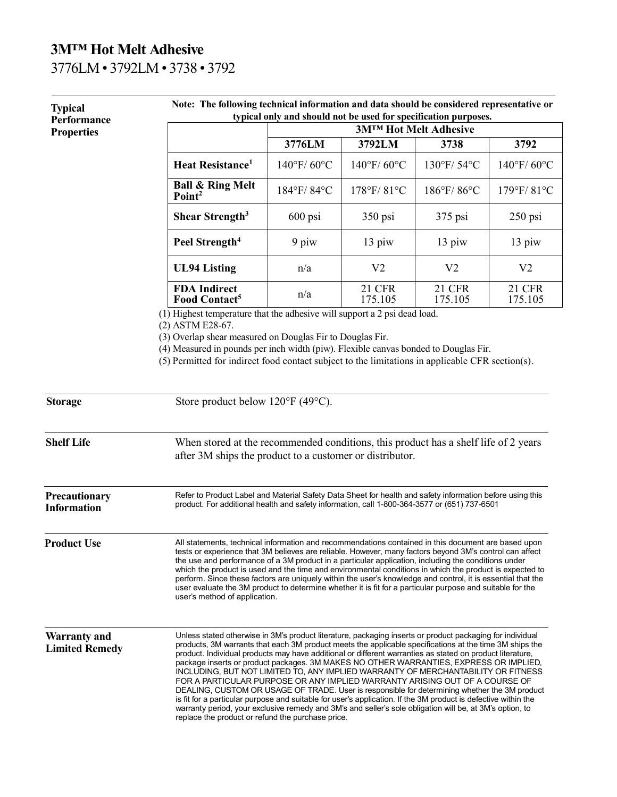## **3M™ Hot Melt Adhesive**  3776LM • 3792LM • 3738 • 3792

| <b>Typical</b><br>Performance<br><b>Properties</b> | Note: The following technical information and data should be considered representative or<br>typical only and should not be used for specification purposes.                                                                                                                                                                                                                                                                                                                                                                                                                                                                                                                                                                                                                                                                                                                                                                                                                        |                               |                          |                   |                          |  |
|----------------------------------------------------|-------------------------------------------------------------------------------------------------------------------------------------------------------------------------------------------------------------------------------------------------------------------------------------------------------------------------------------------------------------------------------------------------------------------------------------------------------------------------------------------------------------------------------------------------------------------------------------------------------------------------------------------------------------------------------------------------------------------------------------------------------------------------------------------------------------------------------------------------------------------------------------------------------------------------------------------------------------------------------------|-------------------------------|--------------------------|-------------------|--------------------------|--|
|                                                    |                                                                                                                                                                                                                                                                                                                                                                                                                                                                                                                                                                                                                                                                                                                                                                                                                                                                                                                                                                                     | <b>3MTM Hot Melt Adhesive</b> |                          |                   |                          |  |
|                                                    |                                                                                                                                                                                                                                                                                                                                                                                                                                                                                                                                                                                                                                                                                                                                                                                                                                                                                                                                                                                     | 3776LM                        | 3792LM                   | 3738              | 3792                     |  |
|                                                    | Heat Resistance <sup>1</sup>                                                                                                                                                                                                                                                                                                                                                                                                                                                                                                                                                                                                                                                                                                                                                                                                                                                                                                                                                        | 140°F/60°C                    | $140^{\circ}$ F/60°C     | 130°F/54°C        | 140°F/60°C               |  |
|                                                    | <b>Ball &amp; Ring Melt</b><br>Point <sup>2</sup>                                                                                                                                                                                                                                                                                                                                                                                                                                                                                                                                                                                                                                                                                                                                                                                                                                                                                                                                   | 184°F/84°C                    | 178°F/81°C               | 186°F/86°C        | 179°F/81°C               |  |
|                                                    | Shear Strength <sup>3</sup>                                                                                                                                                                                                                                                                                                                                                                                                                                                                                                                                                                                                                                                                                                                                                                                                                                                                                                                                                         | $600$ psi                     | 350 psi                  | $375$ psi         | $250$ psi                |  |
|                                                    | Peel Strength <sup>4</sup>                                                                                                                                                                                                                                                                                                                                                                                                                                                                                                                                                                                                                                                                                                                                                                                                                                                                                                                                                          | 9 piw                         | 13 piw                   | 13 piw            | 13 piw                   |  |
|                                                    | <b>UL94 Listing</b>                                                                                                                                                                                                                                                                                                                                                                                                                                                                                                                                                                                                                                                                                                                                                                                                                                                                                                                                                                 | n/a                           | V <sub>2</sub>           | V <sub>2</sub>    | V <sub>2</sub>           |  |
|                                                    | <b>FDA Indirect</b><br>Food Contact <sup>5</sup><br>$\overline{(1)}$ Highest temperature that the adhesive will support a 2 psi dead load.                                                                                                                                                                                                                                                                                                                                                                                                                                                                                                                                                                                                                                                                                                                                                                                                                                          | n/a                           | <b>21 CFR</b><br>175.105 | 21 CFR<br>175.105 | <b>21 CFR</b><br>175.105 |  |
| <b>Storage</b>                                     | (4) Measured in pounds per inch width (piw). Flexible canvas bonded to Douglas Fir.<br>(5) Permitted for indirect food contact subject to the limitations in applicable CFR section(s).<br>Store product below 120°F (49°C).                                                                                                                                                                                                                                                                                                                                                                                                                                                                                                                                                                                                                                                                                                                                                        |                               |                          |                   |                          |  |
| <b>Shelf Life</b>                                  | When stored at the recommended conditions, this product has a shelf life of 2 years<br>after 3M ships the product to a customer or distributor.                                                                                                                                                                                                                                                                                                                                                                                                                                                                                                                                                                                                                                                                                                                                                                                                                                     |                               |                          |                   |                          |  |
| Precautionary<br><b>Information</b>                | Refer to Product Label and Material Safety Data Sheet for health and safety information before using this<br>product. For additional health and safety information, call 1-800-364-3577 or (651) 737-6501                                                                                                                                                                                                                                                                                                                                                                                                                                                                                                                                                                                                                                                                                                                                                                           |                               |                          |                   |                          |  |
| <b>Product Use</b>                                 | All statements, technical information and recommendations contained in this document are based upon<br>tests or experience that 3M believes are reliable. However, many factors beyond 3M's control can affect<br>the use and performance of a 3M product in a particular application, including the conditions under<br>which the product is used and the time and environmental conditions in which the product is expected to<br>perform. Since these factors are uniquely within the user's knowledge and control, it is essential that the<br>user evaluate the 3M product to determine whether it is fit for a particular purpose and suitable for the<br>user's method of application.                                                                                                                                                                                                                                                                                       |                               |                          |                   |                          |  |
| <b>Warranty and</b><br><b>Limited Remedy</b>       | Unless stated otherwise in 3M's product literature, packaging inserts or product packaging for individual<br>products, 3M warrants that each 3M product meets the applicable specifications at the time 3M ships the<br>product. Individual products may have additional or different warranties as stated on product literature,<br>package inserts or product packages. 3M MAKES NO OTHER WARRANTIES, EXPRESS OR IMPLIED.<br>INCLUDING, BUT NOT LIMITED TO, ANY IMPLIED WARRANTY OF MERCHANTABILITY OR FITNESS<br>FOR A PARTICULAR PURPOSE OR ANY IMPLIED WARRANTY ARISING OUT OF A COURSE OF<br>DEALING, CUSTOM OR USAGE OF TRADE. User is responsible for determining whether the 3M product<br>is fit for a particular purpose and suitable for user's application. If the 3M product is defective within the<br>warranty period, your exclusive remedy and 3M's and seller's sole obligation will be, at 3M's option, to<br>replace the product or refund the purchase price. |                               |                          |                   |                          |  |